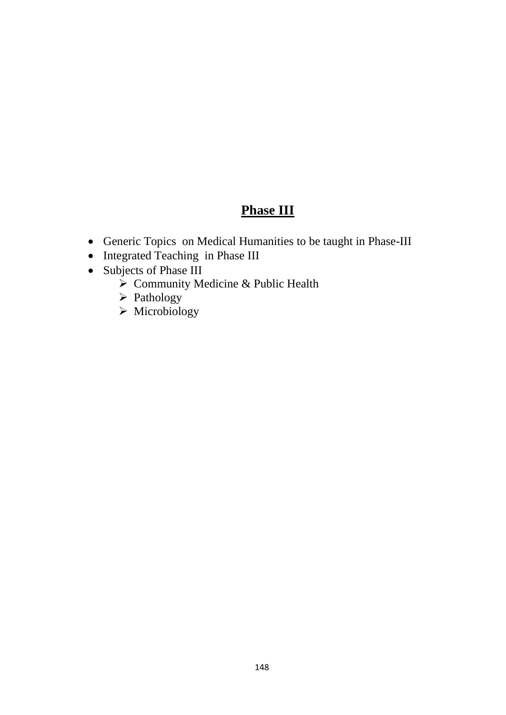# **Phase III**

- Generic Topics on Medical Humanities to be taught in Phase-III
- Integrated Teaching in Phase III
- Subjects of Phase III
	- $\sum_{n=1}^{\infty}$  Community Medicine & Public Health
	- ➢ Pathology
	- ➢ Microbiology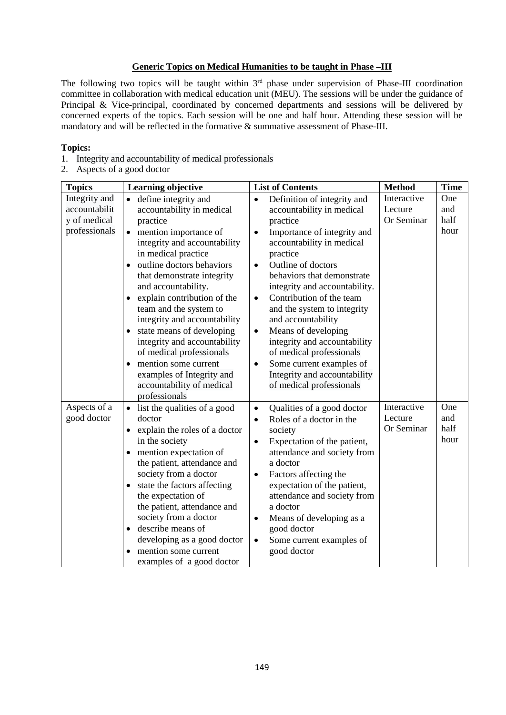#### **Generic Topics on Medical Humanities to be taught in Phase –III**

The following two topics will be taught within 3<sup>rd</sup> phase under supervision of Phase-III coordination committee in collaboration with medical education unit (MEU). The sessions will be under the guidance of Principal & Vice-principal, coordinated by concerned departments and sessions will be delivered by concerned experts of the topics. Each session will be one and half hour. Attending these session will be mandatory and will be reflected in the formative & summative assessment of Phase-III.

#### **Topics:**

- 1. Integrity and accountability of medical professionals
- 2. Aspects of a good doctor

| <b>Topics</b>                                                   | <b>Learning objective</b>                                                                                                                                                                                                                                                                                                                                                                                                                                                                                                                                        | <b>List of Contents</b>                                                                                                                                                                                                                                                                                                                                                                                                                                                                                                                                                     | <b>Method</b>                        | <b>Time</b>                |
|-----------------------------------------------------------------|------------------------------------------------------------------------------------------------------------------------------------------------------------------------------------------------------------------------------------------------------------------------------------------------------------------------------------------------------------------------------------------------------------------------------------------------------------------------------------------------------------------------------------------------------------------|-----------------------------------------------------------------------------------------------------------------------------------------------------------------------------------------------------------------------------------------------------------------------------------------------------------------------------------------------------------------------------------------------------------------------------------------------------------------------------------------------------------------------------------------------------------------------------|--------------------------------------|----------------------------|
| Integrity and<br>accountabilit<br>y of medical<br>professionals | define integrity and<br>accountability in medical<br>practice<br>mention importance of<br>$\bullet$<br>integrity and accountability<br>in medical practice<br>outline doctors behaviors<br>$\bullet$<br>that demonstrate integrity<br>and accountability.<br>explain contribution of the<br>team and the system to<br>integrity and accountability<br>state means of developing<br>٠<br>integrity and accountability<br>of medical professionals<br>mention some current<br>$\bullet$<br>examples of Integrity and<br>accountability of medical<br>professionals | Definition of integrity and<br>$\bullet$<br>accountability in medical<br>practice<br>Importance of integrity and<br>$\bullet$<br>accountability in medical<br>practice<br>Outline of doctors<br>$\bullet$<br>behaviors that demonstrate<br>integrity and accountability.<br>Contribution of the team<br>$\bullet$<br>and the system to integrity<br>and accountability<br>Means of developing<br>$\bullet$<br>integrity and accountability<br>of medical professionals<br>Some current examples of<br>$\bullet$<br>Integrity and accountability<br>of medical professionals | Interactive<br>Lecture<br>Or Seminar | One<br>and<br>half<br>hour |
| Aspects of a<br>good doctor                                     | list the qualities of a good<br>$\bullet$<br>doctor<br>explain the roles of a doctor<br>٠<br>in the society<br>mention expectation of<br>$\bullet$<br>the patient, attendance and<br>society from a doctor<br>state the factors affecting<br>the expectation of<br>the patient, attendance and<br>society from a doctor<br>describe means of<br>$\bullet$<br>developing as a good doctor<br>mention some current<br>examples of a good doctor                                                                                                                    | Qualities of a good doctor<br>$\bullet$<br>Roles of a doctor in the<br>$\bullet$<br>society<br>Expectation of the patient,<br>$\bullet$<br>attendance and society from<br>a doctor<br>Factors affecting the<br>$\bullet$<br>expectation of the patient,<br>attendance and society from<br>a doctor<br>Means of developing as a<br>$\bullet$<br>good doctor<br>Some current examples of<br>$\bullet$<br>good doctor                                                                                                                                                          | Interactive<br>Lecture<br>Or Seminar | One<br>and<br>half<br>hour |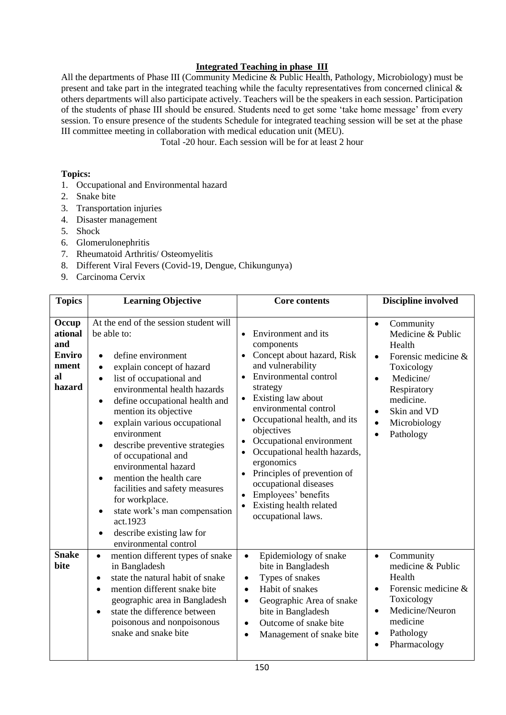## **Integrated Teaching in phase III**

All the departments of Phase III (Community Medicine & Public Health, Pathology, Microbiology) must be present and take part in the integrated teaching while the faculty representatives from concerned clinical & others departments will also participate actively. Teachers will be the speakers in each session. Participation of the students of phase III should be ensured. Students need to get some 'take home message' from every session. To ensure presence of the students Schedule for integrated teaching session will be set at the phase III committee meeting in collaboration with medical education unit (MEU).

Total -20 hour. Each session will be for at least 2 hour

### **Topics:**

- 1. Occupational and Environmental hazard
- 2. Snake bite
- 3. Transportation injuries
- 4. Disaster management
- 5. Shock
- 6. Glomerulonephritis
- 7. Rheumatoid Arthritis/ Osteomyelitis
- 8. Different Viral Fevers (Covid-19, Dengue, Chikungunya)
- 9. Carcinoma Cervix

| <b>Topics</b>                                                     | <b>Learning Objective</b>                                                                                                                                                                                                                                                                                                                                                                                                                                                                                                                                                                                                                                              | <b>Core contents</b>                                                                                                                                                                                                                                                                                                                                                                                                                                       | <b>Discipline involved</b>                                                                                                                                                                                                                       |
|-------------------------------------------------------------------|------------------------------------------------------------------------------------------------------------------------------------------------------------------------------------------------------------------------------------------------------------------------------------------------------------------------------------------------------------------------------------------------------------------------------------------------------------------------------------------------------------------------------------------------------------------------------------------------------------------------------------------------------------------------|------------------------------------------------------------------------------------------------------------------------------------------------------------------------------------------------------------------------------------------------------------------------------------------------------------------------------------------------------------------------------------------------------------------------------------------------------------|--------------------------------------------------------------------------------------------------------------------------------------------------------------------------------------------------------------------------------------------------|
| Occup<br>ational<br>and<br><b>Enviro</b><br>nment<br>al<br>hazard | At the end of the session student will<br>be able to:<br>define environment<br>$\bullet$<br>explain concept of hazard<br>$\bullet$<br>list of occupational and<br>$\bullet$<br>environmental health hazards<br>define occupational health and<br>$\bullet$<br>mention its objective<br>explain various occupational<br>$\bullet$<br>environment<br>describe preventive strategies<br>$\bullet$<br>of occupational and<br>environmental hazard<br>mention the health care<br>$\bullet$<br>facilities and safety measures<br>for workplace.<br>state work's man compensation<br>$\bullet$<br>act.1923<br>describe existing law for<br>$\bullet$<br>environmental control | Environment and its<br>components<br>Concept about hazard, Risk<br>and vulnerability<br>Environmental control<br>$\bullet$<br>strategy<br>Existing law about<br>environmental control<br>Occupational health, and its<br>objectives<br>Occupational environment<br>Occupational health hazards,<br>ergonomics<br>Principles of prevention of<br>$\bullet$<br>occupational diseases<br>Employees' benefits<br>Existing health related<br>occupational laws. | Community<br>$\bullet$<br>Medicine & Public<br>Health<br>Forensic medicine &<br>$\bullet$<br>Toxicology<br>Medicine/<br>$\bullet$<br>Respiratory<br>medicine.<br>Skin and VD<br>$\bullet$<br>Microbiology<br>$\bullet$<br>Pathology<br>$\bullet$ |
| <b>Snake</b><br>bite                                              | mention different types of snake<br>$\bullet$<br>in Bangladesh<br>state the natural habit of snake<br>$\bullet$<br>mention different snake bite<br>$\bullet$<br>geographic area in Bangladesh<br>state the difference between<br>$\bullet$<br>poisonous and nonpoisonous<br>snake and snake bite                                                                                                                                                                                                                                                                                                                                                                       | Epidemiology of snake<br>$\bullet$<br>bite in Bangladesh<br>Types of snakes<br>$\bullet$<br>Habit of snakes<br>$\bullet$<br>Geographic Area of snake<br>$\bullet$<br>bite in Bangladesh<br>Outcome of snake bite<br>$\bullet$<br>Management of snake bite<br>$\bullet$                                                                                                                                                                                     | Community<br>$\bullet$<br>medicine & Public<br>Health<br>Forensic medicine &<br>$\bullet$<br>Toxicology<br>Medicine/Neuron<br>$\bullet$<br>medicine<br>Pathology<br>$\bullet$<br>Pharmacology<br>$\bullet$                                       |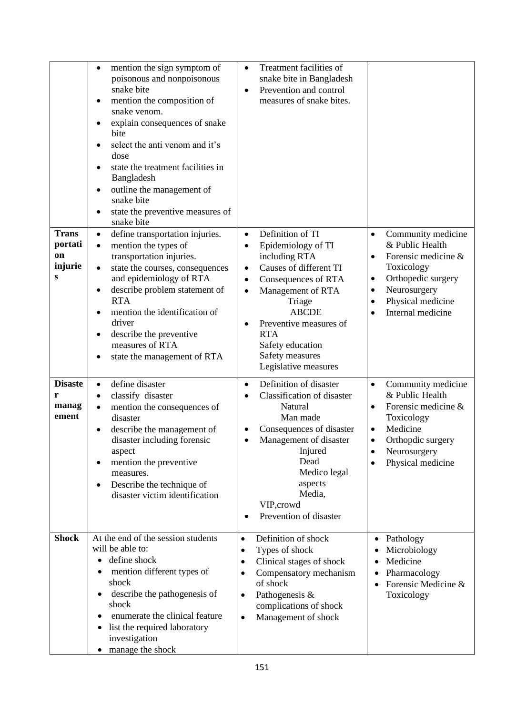|                                               | mention the sign symptom of<br>$\bullet$<br>poisonous and nonpoisonous<br>snake bite<br>mention the composition of<br>$\bullet$<br>snake venom.<br>explain consequences of snake<br>$\bullet$<br>bite<br>select the anti venom and it's<br>dose<br>state the treatment facilities in<br>Bangladesh<br>outline the management of<br>$\bullet$<br>snake bite<br>state the preventive measures of<br>snake bite | Treatment facilities of<br>$\bullet$<br>snake bite in Bangladesh<br>Prevention and control<br>measures of snake bites.                                                                                                                                                                                |                                                                                                                                                                                                                     |
|-----------------------------------------------|--------------------------------------------------------------------------------------------------------------------------------------------------------------------------------------------------------------------------------------------------------------------------------------------------------------------------------------------------------------------------------------------------------------|-------------------------------------------------------------------------------------------------------------------------------------------------------------------------------------------------------------------------------------------------------------------------------------------------------|---------------------------------------------------------------------------------------------------------------------------------------------------------------------------------------------------------------------|
| <b>Trans</b><br>portati<br>on<br>injurie<br>S | define transportation injuries.<br>$\bullet$<br>mention the types of<br>$\bullet$<br>transportation injuries.<br>state the courses, consequences<br>$\bullet$<br>and epidemiology of RTA<br>describe problem statement of<br>٠<br><b>RTA</b><br>mention the identification of<br>$\bullet$<br>driver<br>describe the preventive<br>$\bullet$<br>measures of RTA<br>state the management of RTA               | Definition of TI<br>$\bullet$<br>Epidemiology of TI<br>$\bullet$<br>including RTA<br>Causes of different TI<br>Consequences of RTA<br>Management of RTA<br>$\bullet$<br>Triage<br><b>ABCDE</b><br>Preventive measures of<br><b>RTA</b><br>Safety education<br>Safety measures<br>Legislative measures | Community medicine<br>$\bullet$<br>& Public Health<br>Forensic medicine &<br>$\bullet$<br>Toxicology<br>Orthopedic surgery<br>٠<br>Neurosurgery<br>$\bullet$<br>Physical medicine<br>$\bullet$<br>Internal medicine |
| <b>Disaste</b><br>r<br>manag<br>ement         | define disaster<br>$\bullet$<br>classify disaster<br>$\bullet$<br>mention the consequences of<br>disaster<br>describe the management of<br>$\bullet$<br>disaster including forensic<br>aspect<br>mention the preventive<br>$\bullet$<br>measures.<br>Describe the technique of<br>$\bullet$<br>disaster victim identification                                                                                | Definition of disaster<br>$\bullet$<br>Classification of disaster<br>Natural<br>Man made<br>Consequences of disaster<br>Management of disaster<br>Injured<br>Dead<br>Medico legal<br>aspects<br>Media,<br>VIP, crowd<br>Prevention of disaster<br>$\bullet$                                           | Community medicine<br>$\bullet$<br>& Public Health<br>Forensic medicine &<br>$\bullet$<br>Toxicology<br>Medicine<br>$\bullet$<br>Orthopdic surgery<br>Neurosurgery<br>Physical medicine<br>$\bullet$                |
| <b>Shock</b>                                  | At the end of the session students<br>will be able to:<br>define shock<br>$\bullet$<br>mention different types of<br>$\bullet$<br>shock<br>describe the pathogenesis of<br>$\bullet$<br>shock<br>enumerate the clinical feature<br>list the required laboratory<br>$\bullet$<br>investigation<br>manage the shock                                                                                            | Definition of shock<br>$\bullet$<br>Types of shock<br>$\bullet$<br>Clinical stages of shock<br>$\bullet$<br>Compensatory mechanism<br>$\bullet$<br>of shock<br>Pathogenesis &<br>٠<br>complications of shock<br>Management of shock<br>$\bullet$                                                      | Pathology<br>$\bullet$<br>Microbiology<br>Medicine<br>Pharmacology<br>٠<br>Forensic Medicine &<br>Toxicology                                                                                                        |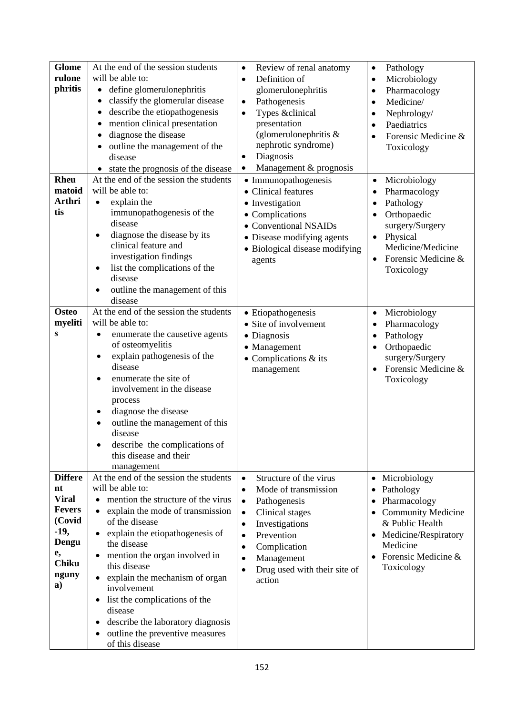| <b>Glome</b><br>rulone<br>phritis                                                                                       | At the end of the session students<br>will be able to:<br>define glomerulonephritis<br>$\bullet$<br>classify the glomerular disease<br>describe the etiopathogenesis<br>mention clinical presentation<br>$\bullet$<br>diagnose the disease<br>outline the management of the<br>disease<br>state the prognosis of the disease<br>$\bullet$                                                                                                                                                                                                         | Review of renal anatomy<br>$\bullet$<br>Definition of<br>$\bullet$<br>glomerulonephritis<br>Pathogenesis<br>$\bullet$<br>Types &clinical<br>$\bullet$<br>presentation<br>(glomerulonephritis $\&$<br>nephrotic syndrome)<br>Diagnosis<br>$\bullet$<br>Management & prognosis<br>٠              | Pathology<br>$\bullet$<br>Microbiology<br>$\bullet$<br>Pharmacology<br>$\bullet$<br>Medicine/<br>$\bullet$<br>Nephrology/<br>$\bullet$<br>Paediatrics<br>$\bullet$<br>Forensic Medicine &<br>Toxicology |
|-------------------------------------------------------------------------------------------------------------------------|---------------------------------------------------------------------------------------------------------------------------------------------------------------------------------------------------------------------------------------------------------------------------------------------------------------------------------------------------------------------------------------------------------------------------------------------------------------------------------------------------------------------------------------------------|------------------------------------------------------------------------------------------------------------------------------------------------------------------------------------------------------------------------------------------------------------------------------------------------|---------------------------------------------------------------------------------------------------------------------------------------------------------------------------------------------------------|
| <b>Rheu</b><br>matoid<br><b>Arthri</b><br>tis                                                                           | At the end of the session the students<br>will be able to:<br>explain the<br>$\bullet$<br>immunopathogenesis of the<br>disease<br>diagnose the disease by its<br>$\bullet$<br>clinical feature and<br>investigation findings<br>list the complications of the<br>$\bullet$<br>disease<br>outline the management of this<br>٠<br>disease                                                                                                                                                                                                           | • Immunopathogenesis<br>• Clinical features<br>• Investigation<br>• Complications<br>• Conventional NSAIDs<br>• Disease modifying agents<br>• Biological disease modifying<br>agents                                                                                                           | Microbiology<br>$\bullet$<br>Pharmacology<br>٠<br>Pathology<br>Orthopaedic<br>surgery/Surgery<br>Physical<br>Medicine/Medicine<br>Forensic Medicine &<br>Toxicology                                     |
| <b>Osteo</b><br>myeliti<br>S                                                                                            | At the end of the session the students<br>will be able to:<br>enumerate the causetive agents<br>of osteomyelitis<br>explain pathogenesis of the<br>disease<br>enumerate the site of<br>$\bullet$<br>involvement in the disease<br>process<br>diagnose the disease<br>٠<br>outline the management of this<br>disease<br>describe the complications of<br>this disease and their<br>management                                                                                                                                                      | • Etiopathogenesis<br>• Site of involvement<br>• Diagnosis<br>• Management<br>$\bullet$ Complications & its<br>management                                                                                                                                                                      | Microbiology<br>$\bullet$<br>Pharmacology<br>٠<br>Pathology<br>٠<br>Orthopaedic<br>$\bullet$<br>surgery/Surgery<br>Forensic Medicine &<br>Toxicology                                                    |
| <b>Differe</b><br>nt<br><b>Viral</b><br><b>Fevers</b><br>(Covid<br>$-19,$<br>Dengu<br>e,<br><b>Chiku</b><br>nguny<br>a) | At the end of the session the students<br>will be able to:<br>mention the structure of the virus<br>$\bullet$<br>explain the mode of transmission<br>$\bullet$<br>of the disease<br>explain the etiopathogenesis of<br>$\bullet$<br>the disease<br>mention the organ involved in<br>$\bullet$<br>this disease<br>explain the mechanism of organ<br>$\bullet$<br>involvement<br>list the complications of the<br>٠<br>disease<br>describe the laboratory diagnosis<br>$\bullet$<br>outline the preventive measures<br>$\bullet$<br>of this disease | Structure of the virus<br>$\bullet$<br>Mode of transmission<br>$\bullet$<br>Pathogenesis<br>$\bullet$<br>Clinical stages<br>$\bullet$<br>Investigations<br>$\bullet$<br>Prevention<br>$\bullet$<br>Complication<br>٠<br>Management<br>٠<br>Drug used with their site of<br>$\bullet$<br>action | Microbiology<br>Pathology<br>Pharmacology<br>٠<br><b>Community Medicine</b><br>& Public Health<br>Medicine/Respiratory<br>$\bullet$<br>Medicine<br>• Forensic Medicine $&$<br>Toxicology                |